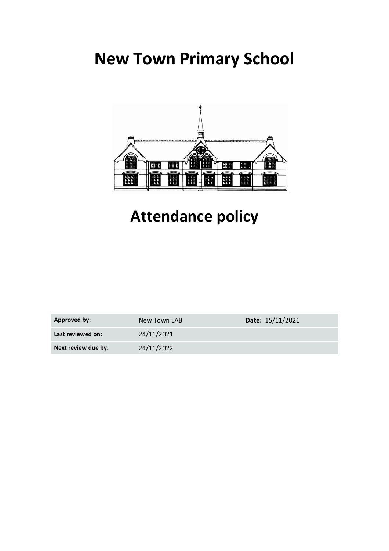# **New Town Primary School**



## **Attendance policy**

| Approved by:        | New Town LAB | Date: 15/11/2021 |
|---------------------|--------------|------------------|
| Last reviewed on:   | 24/11/2021   |                  |
| Next review due by: | 24/11/2022   |                  |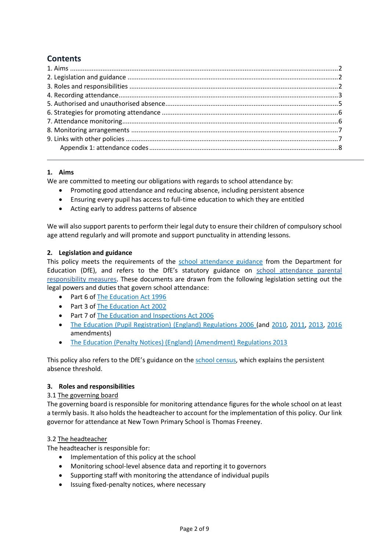## **Contents**

## <span id="page-1-0"></span>**1. Aims**

We are committed to meeting our obligations with regards to school attendance by:

- Promoting good attendance and reducing absence, including persistent absence
- Ensuring every pupil has access to full-time education to which they are entitled
- Acting early to address patterns of absence

We will also support parents to perform their legal duty to ensure their children of compulsory school age attend regularly and will promote and support punctuality in attending lessons.

## <span id="page-1-1"></span>**2. Legislation and guidance**

This policy meets the requirements of the [school attendance guidance](https://www.gov.uk/government/publications/school-attendance) from the Department for Education (DfE), and refers to the DfE's statutory guidance on [school attendance parental](https://www.gov.uk/government/publications/parental-responsibility-measures-for-behaviour-and-attendance)  [responsibility measures.](https://www.gov.uk/government/publications/parental-responsibility-measures-for-behaviour-and-attendance) These documents are drawn from the following legislation setting out the legal powers and duties that govern school attendance:

- Part 6 of [The Education Act 1996](https://www.legislation.gov.uk/ukpga/1996/56/part/VI/chapter/II)
- Part 3 o[f The Education Act 2002](http://www.legislation.gov.uk/ukpga/2002/32/part/3/chapter/3)
- Part 7 o[f The Education and Inspections Act 2006](http://www.legislation.gov.uk/ukpga/2006/40/part/7/chapter/2/crossheading/school-attendance)
- [The Education \(Pupil Registration\) \(England\) Regulations 2006](http://www.legislation.gov.uk/uksi/2006/1751/contents/made) (and [2010,](https://www.legislation.gov.uk/uksi/2010/1725/regulation/2/made) [2011,](https://www.legislation.gov.uk/uksi/2011/1625/made) [2013,](https://www.legislation.gov.uk/uksi/2013/756/made) [2016](https://www.legislation.gov.uk/uksi/2016/792/made/data.html) amendments)
- [The Education \(Penalty Notices\) \(England\) \(Amendment\) Regulations 2013](https://www.legislation.gov.uk/uksi/2013/757/regulation/2/made)

This policy also refers to the DfE's guidance on the [school census,](https://www.gov.uk/guidance/complete-the-school-census) which explains the persistent absence threshold.

#### <span id="page-1-2"></span>**3. Roles and responsibilities**

#### 3.1 The governing board

The governing board is responsible for monitoring attendance figures for the whole school on at least a termly basis. It also holds the headteacher to account for the implementation of this policy. Our link governor for attendance at New Town Primary School is Thomas Freeney.

#### 3.2 The headteacher

The headteacher is responsible for:

- Implementation of this policy at the school
- Monitoring school-level absence data and reporting it to governors
- Supporting staff with monitoring the attendance of individual pupils
- Issuing fixed-penalty notices, where necessary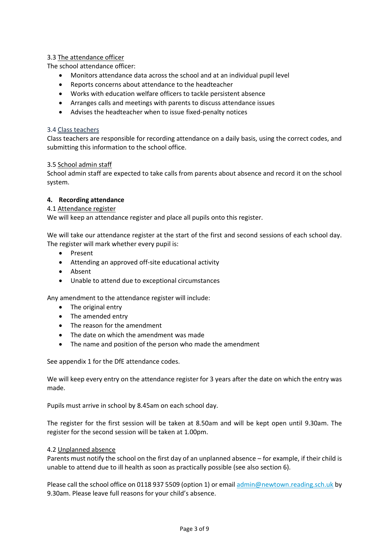## 3.3 The attendance officer

The school attendance officer:

- Monitors attendance data across the school and at an individual pupil level
- Reports concerns about attendance to the headteacher
- Works with education welfare officers to tackle persistent absence
- Arranges calls and meetings with parents to discuss attendance issues
- Advises the headteacher when to issue fixed-penalty notices

## 3.4 Class teachers

Class teachers are responsible for recording attendance on a daily basis, using the correct codes, and submitting this information to the school office.

## 3.5 School admin staff

School admin staff are expected to take calls from parents about absence and record it on the school system.

## <span id="page-2-0"></span>**4. Recording attendance**

## 4.1 Attendance register

We will keep an attendance register and place all pupils onto this register.

We will take our attendance register at the start of the first and second sessions of each school day. The register will mark whether every pupil is:

- Present
- Attending an approved off-site educational activity
- Absent
- Unable to attend due to exceptional circumstances

Any amendment to the attendance register will include:

- The original entry
- The amended entry
- The reason for the amendment
- The date on which the amendment was made
- The name and position of the person who made the amendment

See appendix 1 for the DfE attendance codes.

We will keep every entry on the attendance register for 3 years after the date on which the entry was made.

Pupils must arrive in school by 8.45am on each school day.

The register for the first session will be taken at 8.50am and will be kept open until 9.30am. The register for the second session will be taken at 1.00pm.

#### 4.2 Unplanned absence

Parents must notify the school on the first day of an unplanned absence – for example, if their child is unable to attend due to ill health as soon as practically possible (see also section 6).

Please call the school office on 0118 937 5509 (option 1) or email [admin@newtown.reading.sch.uk](mailto:admin@newtown.reading.sch.uk) by 9.30am. Please leave full reasons for your child's absence.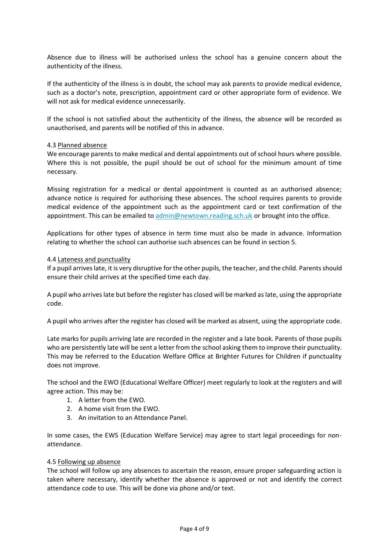Absence due to illness will be authorised unless the school has a genuine concern about the authenticity of the illness.

If the authenticity of the illness is in doubt, the school may ask parents to provide medical evidence, such as a doctor's note, prescription, appointment card or other appropriate form of evidence. We will not ask for medical evidence unnecessarily.

If the school is not satisfied about the authenticity of the illness, the absence will be recorded as unauthorised, and parents will be notified of this in advance.

#### 4.3 Planned absence

We encourage parents to make medical and dental appointments out of school hours where possible. Where this is not possible, the pupil should be out of school for the minimum amount of time necessary.

Missing registration for a medical or dental appointment is counted as an authorised absence; advance notice is required for authorising these absences. The school requires parents to provide medical evidence of the appointment such as the appointment card or text confirmation of the appointment. This can be emailed to [admin@newtown.reading.sch.uk](mailto:admin@newtown.reading.sch.uk) or brought into the office.

Applications for other types of absence in term time must also be made in advance. Information relating to whether the school can authorise such absences can be found in section 5.

#### 4.4 Lateness and punctuality

If a pupil arrives late, it is very disruptive for the other pupils, the teacher, and the child. Parents should ensure their child arrives at the specified time each day.

A pupil who arrives late but before the register has closed will be marked as late, using the appropriate code.

A pupil who arrives after the register has closed will be marked as absent, using the appropriate code.

Late marks for pupils arriving late are recorded in the register and a late book. Parents of those pupils who are persistently late will be sent a letter from the school asking them to improve their punctuality. This may be referred to the Education Welfare Office at Brighter Futures for Children if punctuality does not improve.

The school and the EWO (Educational Welfare Officer) meet regularly to look at the registers and will agree action. This may be:

- 1. A letter from the EWO.
- 2. A home visit from the EWO.
- 3. An invitation to an Attendance Panel.

In some cases, the EWS (Education Welfare Service) may agree to start legal proceedings for nonattendance.

#### 4.5 Following up absence

The school will follow up any absences to ascertain the reason, ensure proper safeguarding action is taken where necessary, identify whether the absence is approved or not and identify the correct attendance code to use. This will be done via phone and/or text.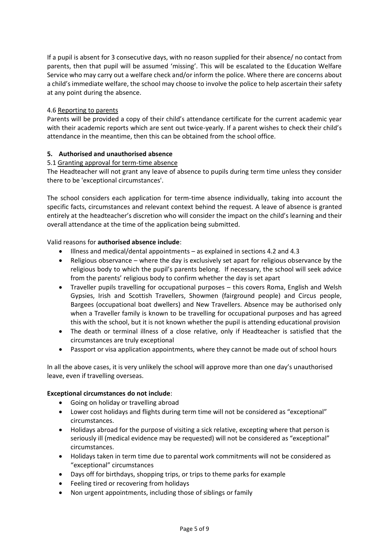If a pupil is absent for 3 consecutive days, with no reason supplied for their absence/ no contact from parents, then that pupil will be assumed 'missing'. This will be escalated to the Education Welfare Service who may carry out a welfare check and/or inform the police. Where there are concerns about a child's immediate welfare, the school may choose to involve the police to help ascertain their safety at any point during the absence.

## 4.6 Reporting to parents

<span id="page-4-0"></span>Parents will be provided a copy of their child's attendance certificate for the current academic year with their academic reports which are sent out twice-yearly. If a parent wishes to check their child's attendance in the meantime, then this can be obtained from the school office.

## **5. Authorised and unauthorised absence**

## 5.1 Granting approval for term-time absence

The Headteacher will not grant any leave of absence to pupils during term time unless they consider there to be 'exceptional circumstances'.

The school considers each application for term-time absence individually, taking into account the specific facts, circumstances and relevant context behind the request. A leave of absence is granted entirely at the headteacher's discretion who will consider the impact on the child's learning and their overall attendance at the time of the application being submitted.

## Valid reasons for **authorised absence include**:

- Illness and medical/dental appointments as explained in sections 4.2 and 4.3
- Religious observance where the day is exclusively set apart for religious observance by the religious body to which the pupil's parents belong. If necessary, the school will seek advice from the parents' religious body to confirm whether the day is set apart
- Traveller pupils travelling for occupational purposes this covers Roma, English and Welsh Gypsies, Irish and Scottish Travellers, Showmen (fairground people) and Circus people, Bargees (occupational boat dwellers) and New Travellers. Absence may be authorised only when a Traveller family is known to be travelling for occupational purposes and has agreed this with the school, but it is not known whether the pupil is attending educational provision
- The death or terminal illness of a close relative, only if Headteacher is satisfied that the circumstances are truly exceptional
- Passport or visa application appointments, where they cannot be made out of school hours

In all the above cases, it is very unlikely the school will approve more than one day's unauthorised leave, even if travelling overseas.

#### **Exceptional circumstances do not include**:

- Going on holiday or travelling abroad
- Lower cost holidays and flights during term time will not be considered as "exceptional" circumstances.
- Holidays abroad for the purpose of visiting a sick relative, excepting where that person is seriously ill (medical evidence may be requested) will not be considered as "exceptional" circumstances.
- Holidays taken in term time due to parental work commitments will not be considered as "exceptional" circumstances
- Days off for birthdays, shopping trips, or trips to theme parks for example
- Feeling tired or recovering from holidays
- Non urgent appointments, including those of siblings or family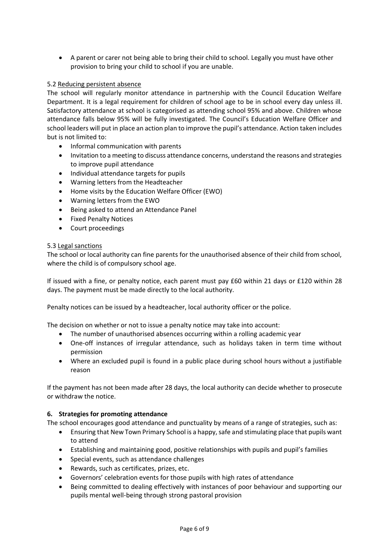• A parent or carer not being able to bring their child to school. Legally you must have other provision to bring your child to school if you are unable.

### 5.2 Reducing persistent absence

The school will regularly monitor attendance in partnership with the Council Education Welfare Department. It is a legal requirement for children of school age to be in school every day unless ill. Satisfactory attendance at school is categorised as attending school 95% and above. Children whose attendance falls below 95% will be fully investigated. The Council's Education Welfare Officer and school leaders will put in place an action plan to improve the pupil's attendance. Action taken includes but is not limited to:

- Informal communication with parents
- Invitation to a meeting to discuss attendance concerns, understand the reasons and strategies to improve pupil attendance
- Individual attendance targets for pupils
- Warning letters from the Headteacher
- Home visits by the Education Welfare Officer (EWO)
- Warning letters from the EWO
- Being asked to attend an Attendance Panel
- Fixed Penalty Notices
- Court proceedings

#### 5.3 Legal sanctions

The school or local authority can fine parents for the unauthorised absence of their child from school, where the child is of compulsory school age.

If issued with a fine, or penalty notice, each parent must pay £60 within 21 days or £120 within 28 days. The payment must be made directly to the local authority.

Penalty notices can be issued by a headteacher, local authority officer or the police.

The decision on whether or not to issue a penalty notice may take into account:

- The number of unauthorised absences occurring within a rolling academic year
- One-off instances of irregular attendance, such as holidays taken in term time without permission
- Where an excluded pupil is found in a public place during school hours without a justifiable reason

If the payment has not been made after 28 days, the local authority can decide whether to prosecute or withdraw the notice.

#### <span id="page-5-0"></span>**6. Strategies for promoting attendance**

<span id="page-5-1"></span>The school encourages good attendance and punctuality by means of a range of strategies, such as:

- Ensuring that New Town Primary School is a happy, safe and stimulating place that pupils want to attend
- Establishing and maintaining good, positive relationships with pupils and pupil's families
- Special events, such as attendance challenges
- Rewards, such as certificates, prizes, etc.
- Governors' celebration events for those pupils with high rates of attendance
- Being committed to dealing effectively with instances of poor behaviour and supporting our pupils mental well-being through strong pastoral provision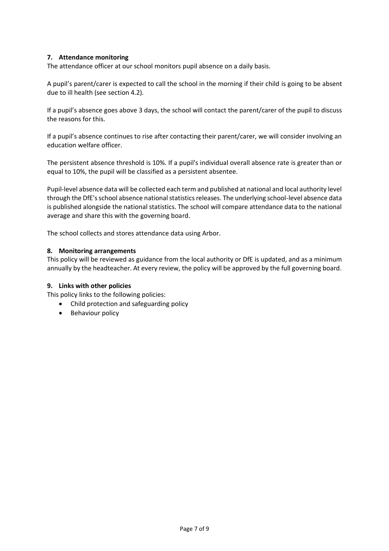## **7. Attendance monitoring**

The attendance officer at our school monitors pupil absence on a daily basis.

A pupil's parent/carer is expected to call the school in the morning if their child is going to be absent due to ill health (see section 4.2).

If a pupil's absence goes above 3 days, the school will contact the parent/carer of the pupil to discuss the reasons for this.

If a pupil's absence continues to rise after contacting their parent/carer, we will consider involving an education welfare officer.

The persistent absence threshold is 10%. If a pupil's individual overall absence rate is greater than or equal to 10%, the pupil will be classified as a persistent absentee.

Pupil-level absence data will be collected each term and published at national and local authority level through the DfE's school absence national statistics releases. The underlying school-level absence data is published alongside the national statistics. The school will compare attendance data to the national average and share this with the governing board.

The school collects and stores attendance data using Arbor.

#### <span id="page-6-0"></span>**8. Monitoring arrangements**

This policy will be reviewed as guidance from the local authority or DfE is updated, and as a minimum annually by the headteacher. At every review, the policy will be approved by the full governing board.

#### <span id="page-6-1"></span>**9. Links with other policies**

This policy links to the following policies:

- Child protection and safeguarding policy
- <span id="page-6-2"></span>• Behaviour policy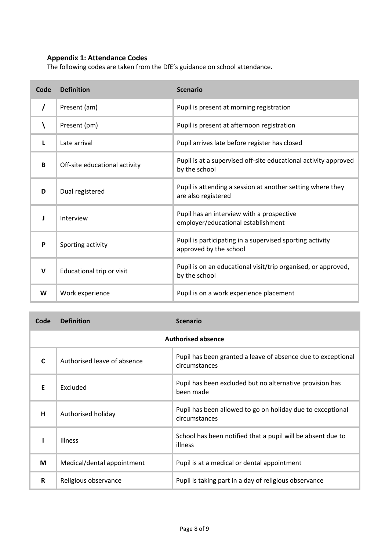## **Appendix 1: Attendance Codes**

The following codes are taken from the DfE's guidance on school attendance.

| Code | <b>Definition</b>             | <b>Scenario</b>                                                                    |
|------|-------------------------------|------------------------------------------------------------------------------------|
|      | Present (am)                  | Pupil is present at morning registration                                           |
|      | Present (pm)                  | Pupil is present at afternoon registration                                         |
|      | Late arrival                  | Pupil arrives late before register has closed                                      |
| B    | Off-site educational activity | Pupil is at a supervised off-site educational activity approved<br>by the school   |
| D    | Dual registered               | Pupil is attending a session at another setting where they<br>are also registered  |
| J    | Interview                     | Pupil has an interview with a prospective<br>employer/educational establishment    |
| P    | Sporting activity             | Pupil is participating in a supervised sporting activity<br>approved by the school |
| V    | Educational trip or visit     | Pupil is on an educational visit/trip organised, or approved,<br>by the school     |
| W    | Work experience               | Pupil is on a work experience placement                                            |

| Code                      | <b>Definition</b>           | <b>Scenario</b>                                                               |
|---------------------------|-----------------------------|-------------------------------------------------------------------------------|
| <b>Authorised absence</b> |                             |                                                                               |
|                           | Authorised leave of absence | Pupil has been granted a leave of absence due to exceptional<br>circumstances |
| F                         | Excluded                    | Pupil has been excluded but no alternative provision has<br>been made         |
| н                         | Authorised holiday          | Pupil has been allowed to go on holiday due to exceptional<br>circumstances   |
|                           | <b>Illness</b>              | School has been notified that a pupil will be absent due to<br>illness        |
| М                         | Medical/dental appointment  | Pupil is at a medical or dental appointment                                   |
| R                         | Religious observance        | Pupil is taking part in a day of religious observance                         |